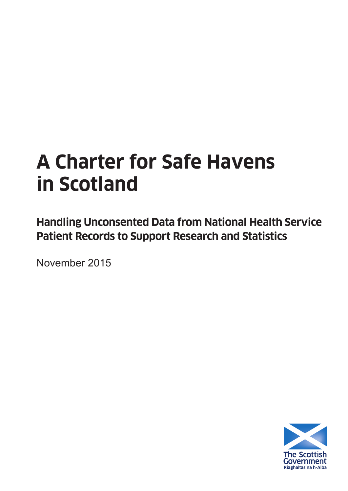# **A Charter for Safe Havens in Scotland**

**Handling Unconsented Data from National Health Service Patient Records to Support Research and Statistics**

November 2015

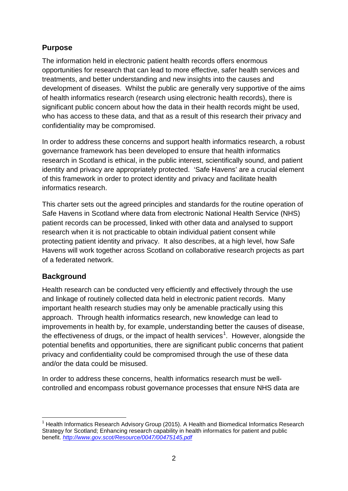# **Purpose**

The information held in electronic patient health records offers enormous opportunities for research that can lead to more effective, safer health services and treatments, and better understanding and new insights into the causes and development of diseases. Whilst the public are generally very supportive of the aims of health informatics research (research using electronic health records), there is significant public concern about how the data in their health records might be used, who has access to these data, and that as a result of this research their privacy and confidentiality may be compromised.

In order to address these concerns and support health informatics research, a robust governance framework has been developed to ensure that health informatics research in Scotland is ethical, in the public interest, scientifically sound, and patient identity and privacy are appropriately protected. 'Safe Havens' are a crucial element of this framework in order to protect identity and privacy and facilitate health informatics research.

This charter sets out the agreed principles and standards for the routine operation of Safe Havens in Scotland where data from electronic National Health Service (NHS) patient records can be processed, linked with other data and analysed to support research when it is not practicable to obtain individual patient consent while protecting patient identity and privacy. It also describes, at a high level, how Safe Havens will work together across Scotland on collaborative research projects as part of a federated network.

# **Background**

Health research can be conducted very efficiently and effectively through the use and linkage of routinely collected data held in electronic patient records. Many important health research studies may only be amenable practically using this approach. Through health informatics research, new knowledge can lead to improvements in health by, for example, understanding better the causes of disease, the effectiveness of drugs, or the impact of health services<sup>1</sup>. However, alongside the potential benefits and opportunities, there are significant public concerns that patient privacy and confidentiality could be compromised through the use of these data and/or the data could be misused.

<span id="page-1-0"></span>In order to address these concerns, health informatics research must be wellcontrolled and encompass robust governance processes that ensure NHS data are

<sup>1</sup> Health Informatics Research Advisory Group (2015). A Health and Biomedical Informatics Research Strategy for Scotland; Enhancing research capability in health informatics for patient and public benefit. *<http://www.gov.scot/Resource/0047/00475145.pdf>*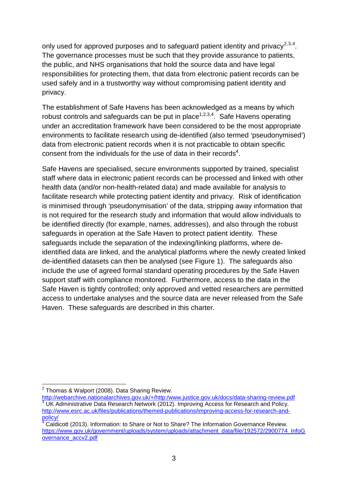only used for approved purposes and to safeguard patient identity and privacy<sup>[2](#page-1-0),[3,](#page-2-0)[4](#page-2-1)</sup>. The governance processes must be such that they provide assurance to patients, the public, and NHS organisations that hold the source data and have legal responsibilities for protecting them, that data from electronic patient records can be used safely and in a trustworthy way without compromising patient identity and privacy.

The establishment of Safe Havens has been acknowledged as a means by which robust controls and safeguards can be put in place<sup>1,2,3,4</sup>. Safe Havens operating under an accreditation framework have been considered to be the most appropriate environments to facilitate research using de-identified (also termed 'pseudonymised') data from electronic patient records when it is not practicable to obtain specific consent from the individuals for the use of data in their records<sup>4</sup>.

Safe Havens are specialised, secure environments supported by trained, specialist staff where data in electronic patient records can be processed and linked with other health data (and/or non-health-related data) and made available for analysis to facilitate research while protecting patient identity and privacy. Risk of identification is minimised through 'pseudonymisation' of the data, stripping away information that is not required for the research study and information that would allow individuals to be identified directly (for example, names, addresses), and also through the robust safeguards in operation at the Safe Haven to protect patient identity. These safeguards include the separation of the indexing/linking platforms, where deidentified data are linked, and the analytical platforms where the newly created linked de-identified datasets can then be analysed (see Figure 1). The safeguards also include the use of agreed formal standard operating procedures by the Safe Haven support staff with compliance monitored. Furthermore, access to the data in the Safe Haven is tightly controlled; only approved and vetted researchers are permitted access to undertake analyses and the source data are never released from the Safe Haven. These safeguards are described in this charter.

<span id="page-2-2"></span><span id="page-2-0"></span><sup>&</sup>lt;sup>2</sup> Thomas & Walport (2008). Data Sharing Review.<br>http://webarchive.nationalarchives.gov.uk/+/http:/www.justice.gov.uk/docs/data-sharing-review.pdf  $\frac{3}{3}$  UK Administrative Data Research Network (2012). Improving Access for Research and Policy. http://www.esrc.ac.uk/files/publications/themed-publications/improving-access-for-research-and-<br>policy/<br>coldinations/informations/increased:

<span id="page-2-1"></span>Caldicott (2013). Information: to Share or Not to Share? The Information Governance Review. [https://www.gov.uk/government/uploads/system/uploads/attachment\\_data/file/192572/2900774\\_InfoG](https://www.gov.uk/government/uploads/system/uploads/attachment_data/file/192572/2900774_InfoGovernance_accv2.pdf) [overnance\\_accv2.pdf](https://www.gov.uk/government/uploads/system/uploads/attachment_data/file/192572/2900774_InfoGovernance_accv2.pdf)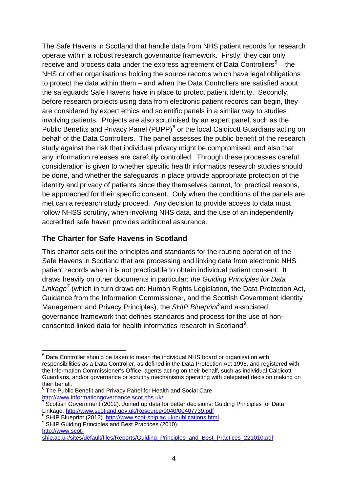The Safe Havens in Scotland that handle data from NHS patient records for research operate within a robust research governance framework. Firstly, they can only receive and process data under the express agreement of Data Controllers<sup>[5](#page-2-2)</sup> – the NHS or other organisations holding the source records which have legal obligations to protect the data within them – and when the Data Controllers are satisfied about the safeguards Safe Havens have in place to protect patient identity. Secondly, before research projects using data from electronic patient records can begin, they are considered by expert ethics and scientific panels in a similar way to studies involving patients. Projects are also scrutinised by an expert panel, such as the Public Benefits and Privacy Panel (PBPP)<sup>[6](#page-3-0)</sup> or the local Caldicott Guardians acting on behalf of the Data Controllers. The panel assesses the public benefit of the research study against the risk that individual privacy might be compromised, and also that any information releases are carefully controlled. Through these processes careful consideration is given to whether specific health informatics research studies should be done, and whether the safeguards in place provide appropriate protection of the identity and privacy of patients since they themselves cannot, for practical reasons, be approached for their specific consent. Only when the conditions of the panels are met can a research study proceed. Any decision to provide access to data must follow NHSS scrutiny, when involving NHS data, and the use of an independently accredited safe haven provides additional assurance.

# **The Charter for Safe Havens in Scotland**

This charter sets out the principles and standards for the routine operation of the Safe Havens in Scotland that are processing and linking data from electronic NHS patient records when it is not practicable to obtain individual patient consent. It draws heavily on other documents in particular: *the Guiding Principles for Data Linkage[7](#page-3-1)* (which in turn draws on: Human Rights Legislation, the Data Protection Act, Guidance from the Information Commissioner, and the Scottish Government Identity Management and Privacy Principles), the SHIP Blueprint<sup>[8](#page-3-2)</sup>and associated governance framework that defines standards and process for the use of non-consented linked data for health informatics research in Scotland<sup>[9](#page-3-3)</sup>.

<sup>&</sup>lt;sup>5</sup> Data Controller should be taken to mean the individual NHS board or organisation with responsibilities as a Data Controller, as defined in the Data Protection Act 1998, and registered with the Information Commissioner's Office, agents acting on their behalf, such as individual Caldicott Guardians, and/or governance or scrutiny mechanisms operating with delegated decision making on

<span id="page-3-0"></span>The Public Benefit and Privacy Panel for Health and Social Care <http://www.informationgovernance.scot.nhs.uk/>

<span id="page-3-1"></span> $7$  Scottish Government (2012). Joined up data for better decisions: Guiding Principles for Data<br>Linkage. http://www.scotland.gov.uk/Resource/0040/00407739.pdf

<span id="page-3-2"></span><sup>&</sup>lt;sup>8</sup> SHIP Blueprint (2012).<http://www.scot-ship.ac.uk/publications.html> 9 SHIP Guiding Principles and Best Practices (2010).

<span id="page-3-3"></span>[http://www.scot-](http://www.scot-ship.ac.uk/sites/default/files/Reports/Guiding_Principles_and_Best_Practices_221010.pdf)

<span id="page-3-4"></span>[ship.ac.uk/sites/default/files/Reports/Guiding\\_Principles\\_and\\_Best\\_Practices\\_221010.pdf](http://www.scot-ship.ac.uk/sites/default/files/Reports/Guiding_Principles_and_Best_Practices_221010.pdf)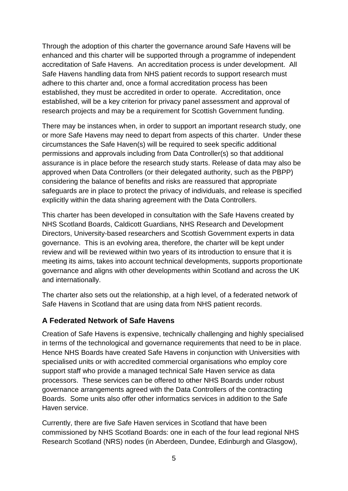Through the adoption of this charter the governance around Safe Havens will be enhanced and this charter will be supported through a programme of independent accreditation of Safe Havens. An accreditation process is under development. All Safe Havens handling data from NHS patient records to support research must adhere to this charter and, once a formal accreditation process has been established, they must be accredited in order to operate. Accreditation, once established, will be a key criterion for privacy panel assessment and approval of research projects and may be a requirement for Scottish Government funding.

There may be instances when, in order to support an important research study, one or more Safe Havens may need to depart from aspects of this charter. Under these circumstances the Safe Haven(s) will be required to seek specific additional permissions and approvals including from Data Controller(s) so that additional assurance is in place before the research study starts. Release of data may also be approved when Data Controllers (or their delegated authority, such as the PBPP) considering the balance of benefits and risks are reassured that appropriate safeguards are in place to protect the privacy of individuals, and release is specified explicitly within the data sharing agreement with the Data Controllers.

This charter has been developed in consultation with the Safe Havens created by NHS Scotland Boards, Caldicott Guardians, NHS Research and Development Directors, University-based researchers and Scottish Government experts in data governance. This is an evolving area, therefore, the charter will be kept under review and will be reviewed within two years of its introduction to ensure that it is meeting its aims, takes into account technical developments, supports proportionate governance and aligns with other developments within Scotland and across the UK and internationally.

The charter also sets out the relationship, at a high level, of a federated network of Safe Havens in Scotland that are using data from NHS patient records.

# **A Federated Network of Safe Havens**

Creation of Safe Havens is expensive, technically challenging and highly specialised in terms of the technological and governance requirements that need to be in place. Hence NHS Boards have created Safe Havens in conjunction with Universities with specialised units or with accredited commercial organisations who employ core support staff who provide a managed technical Safe Haven service as data processors. These services can be offered to other NHS Boards under robust governance arrangements agreed with the Data Controllers of the contracting Boards. Some units also offer other informatics services in addition to the Safe Haven service.

Currently, there are five Safe Haven services in Scotland that have been commissioned by NHS Scotland Boards: one in each of the four lead regional NHS Research Scotland (NRS) nodes (in Aberdeen, Dundee, Edinburgh and Glasgow),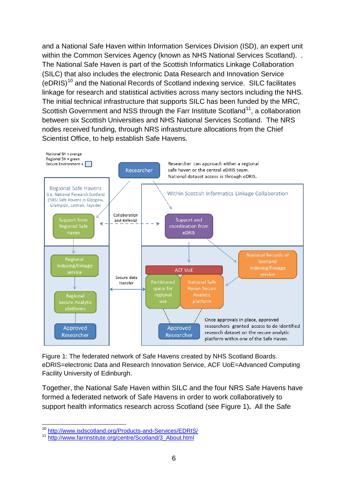and a National Safe Haven within Information Services Division (ISD), an expert unit within the Common Services Agency (known as NHS National Services Scotland). . The National Safe Haven is part of the Scottish Informatics Linkage Collaboration (SILC) that also includes the electronic Data Research and Innovation Service  $(eDRIS)^{10}$  $(eDRIS)^{10}$  $(eDRIS)^{10}$  and the National Records of Scotland indexing service. SILC facilitates linkage for research and statistical activities across many sectors including the NHS. The initial technical infrastructure that supports SILC has been funded by the MRC, Scottish Government and NSS through the Farr Institute Scotland<sup>11</sup>, a collaboration between six Scottish Universities and NHS National Services Scotland. The NRS nodes received funding, through NRS infrastructure allocations from the Chief Scientist Office, to help establish Safe Havens.



Figure 1: The federated network of Safe Havens created by NHS Scotland Boards. eDRIS=electronic Data and Research Innovation Service, ACF UoE=Advanced Computing Facility University of Edinburgh.

Together, the National Safe Haven within SILC and the four NRS Safe Havens have formed a federated network of Safe Havens in order to work collaboratively to support health informatics research across Scotland (see Figure 1)**.** All the Safe

<span id="page-5-1"></span><span id="page-5-0"></span><sup>&</sup>lt;sup>10</sup> <http://www.isdscotland.org/Products-and-Services/EDRIS/><br><sup>11</sup> http://www.farrinstitute.org/centre/Scotland/3, About html

http://www.farrinstitute.org/centre/Scotland/3\_About.html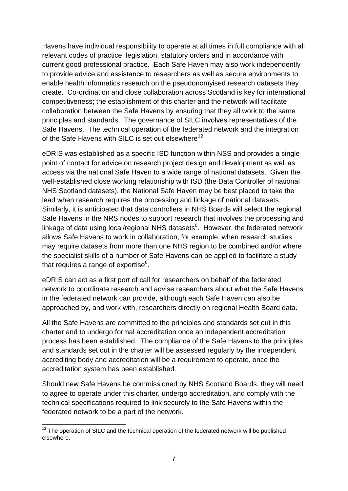Havens have individual responsibility to operate at all times in full compliance with all relevant codes of practice, legislation, statutory orders and in accordance with current good professional practice. Each Safe Haven may also work independently to provide advice and assistance to researchers as well as secure environments to enable health informatics research on the pseudonomyised research datasets they create. Co-ordination and close collaboration across Scotland is key for international competitiveness; the establishment of this charter and the network will facilitate collaboration between the Safe Havens by ensuring that they all work to the same principles and standards. The governance of SILC involves representatives of the Safe Havens. The technical operation of the federated network and the integration of the Safe Havens with SILC is set out elsewhere<sup>12</sup>.

eDRIS was established as a specific ISD function within NSS and provides a single point of contact for advice on research project design and development as well as access via the national Safe Haven to a wide range of national datasets. Given the well-established close working relationship with ISD (the Data Controller of national NHS Scotland datasets), the National Safe Haven may be best placed to take the lead when research requires the processing and linkage of national datasets. Similarly, it is anticipated that data controllers in NHS Boards will select the regional Safe Havens in the NRS nodes to support research that involves the processing and linkage of data using local/regional NHS datasets $6$ . However, the federated network allows Safe Havens to work in collaboration, for example, when research studies may require datasets from more than one NHS region to be combined and/or where the specialist skills of a number of Safe Havens can be applied to facilitate a study that requires a range of expertise $6$ .

eDRIS can act as a first port of call for researchers on behalf of the federated network to coordinate research and advise researchers about what the Safe Havens in the federated network can provide, although each Safe Haven can also be approached by, and work with, researchers directly on regional Health Board data.

All the Safe Havens are committed to the principles and standards set out in this charter and to undergo formal accreditation once an independent accreditation process has been established. The compliance of the Safe Havens to the principles and standards set out in the charter will be assessed regularly by the independent accrediting body and accreditation will be a requirement to operate, once the accreditation system has been established.

<span id="page-6-0"></span>Should new Safe Havens be commissioned by NHS Scotland Boards, they will need to agree to operate under this charter, undergo accreditation, and comply with the technical specifications required to link securely to the Safe Havens within the federated network to be a part of the network.

 $12$  The operation of SILC and the technical operation of the federated network will be published elsewhere.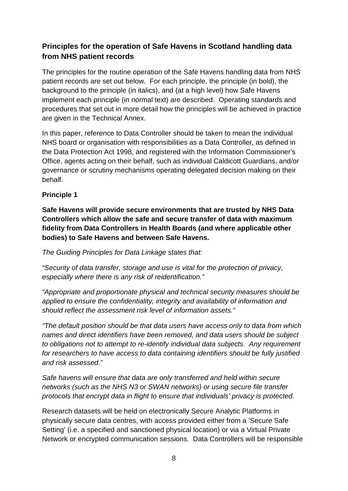# **Principles for the operation of Safe Havens in Scotland handling data from NHS patient records**

The principles for the routine operation of the Safe Havens handling data from NHS patient records are set out below. For each principle, the principle (in bold), the background to the principle (in italics), and (at a high level) how Safe Havens implement each principle (in normal text) are described. Operating standards and procedures that set out in more detail how the principles will be achieved in practice are given in the Technical Annex.

In this paper, reference to Data Controller should be taken to mean the individual NHS board or organisation with responsibilities as a Data Controller, as defined in the Data Protection Act 1998, and registered with the Information Commissioner's Office, agents acting on their behalf, such as individual Caldicott Guardians, and/or governance or scrutiny mechanisms operating delegated decision making on their behalf.

#### **Principle 1**

**Safe Havens will provide secure environments that are trusted by NHS Data Controllers which allow the safe and secure transfer of data with maximum fidelity from Data Controllers in Health Boards (and where applicable other bodies) to Safe Havens and between Safe Havens.**

*The Guiding Principles for Data Linkage states that:*

*"Security of data transfer, storage and use is vital for the protection of privacy, especially where there is any risk of reidentification."*

*"Appropriate and proportionate physical and technical security measures should be applied to ensure the confidentiality, integrity and availability of information and should reflect the assessment risk level of information assets."*

*"The default position should be that data users have access only to data from which names and direct identifiers have been removed, and data users should be subject to obligations not to attempt to re-identify individual data subjects. Any requirement for researchers to have access to data containing identifiers should be fully justified and risk assessed."*

*Safe havens will ensure that data are only transferred and held within secure networks (such as the NHS N3 or SWAN networks) or using secure file transfer protocols that encrypt data in flight to ensure that individuals' privacy is protected.*

Research datasets will be held on electronically Secure Analytic Platforms in physically secure data centres, with access provided either from a 'Secure Safe Setting' (i.e. a specified and sanctioned physical location) or via a Virtual Private Network or encrypted communication sessions. Data Controllers will be responsible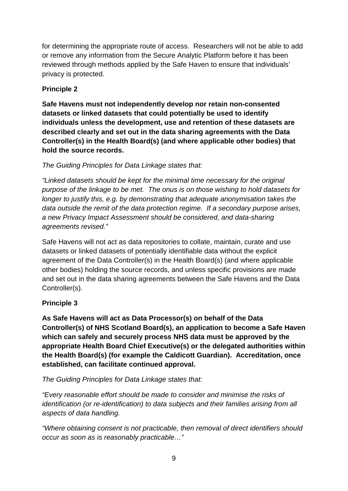for determining the appropriate route of access. Researchers will not be able to add or remove any information from the Secure Analytic Platform before it has been reviewed through methods applied by the Safe Haven to ensure that individuals' privacy is protected.

# **Principle 2**

**Safe Havens must not independently develop nor retain non-consented datasets or linked datasets that could potentially be used to identify individuals unless the development, use and retention of these datasets are described clearly and set out in the data sharing agreements with the Data Controller(s) in the Health Board(s) (and where applicable other bodies) that hold the source records.** 

# *The Guiding Principles for Data Linkage states that:*

*"Linked datasets should be kept for the minimal time necessary for the original purpose of the linkage to be met. The onus is on those wishing to hold datasets for longer to justify this, e.g. by demonstrating that adequate anonymisation takes the data outside the remit of the data protection regime. If a secondary purpose arises, a new Privacy Impact Assessment should be considered, and data-sharing agreements revised."*

Safe Havens will not act as data repositories to collate, maintain, curate and use datasets or linked datasets of potentially identifiable data without the explicit agreement of the Data Controller(s) in the Health Board(s) (and where applicable other bodies) holding the source records, and unless specific provisions are made and set out in the data sharing agreements between the Safe Havens and the Data Controller(s).

# **Principle 3**

**As Safe Havens will act as Data Processor(s) on behalf of the Data Controller(s) of NHS Scotland Board(s), an application to become a Safe Haven which can safely and securely process NHS data must be approved by the appropriate Health Board Chief Executive(s) or the delegated authorities within the Health Board(s) (for example the Caldicott Guardian). Accreditation, once established, can facilitate continued approval.**

# *The Guiding Principles for Data Linkage states that:*

*"Every reasonable effort should be made to consider and minimise the risks of identification (or re-identification) to data subjects and their families arising from all aspects of data handling.* 

*"Where obtaining consent is not practicable, then removal of direct identifiers should occur as soon as is reasonably practicable…"*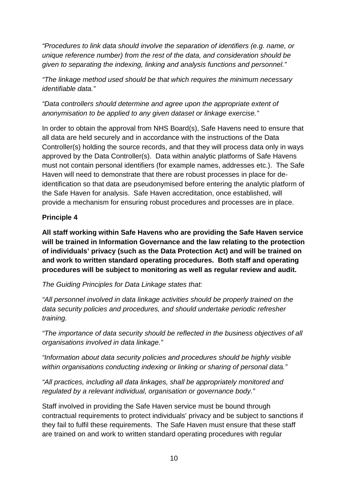*"Procedures to link data should involve the separation of identifiers (e.g. name, or unique reference number) from the rest of the data, and consideration should be given to separating the indexing, linking and analysis functions and personnel."*

*"The linkage method used should be that which requires the minimum necessary identifiable data."*

*"Data controllers should determine and agree upon the appropriate extent of anonymisation to be applied to any given dataset or linkage exercise."* 

In order to obtain the approval from NHS Board(s), Safe Havens need to ensure that all data are held securely and in accordance with the instructions of the Data Controller(s) holding the source records, and that they will process data only in ways approved by the Data Controller(s). Data within analytic platforms of Safe Havens must not contain personal identifiers (for example names, addresses etc.). The Safe Haven will need to demonstrate that there are robust processes in place for deidentification so that data are pseudonymised before entering the analytic platform of the Safe Haven for analysis. Safe Haven accreditation, once established, will provide a mechanism for ensuring robust procedures and processes are in place.

# **Principle 4**

**All staff working within Safe Havens who are providing the Safe Haven service will be trained in Information Governance and the law relating to the protection of individuals' privacy (such as the Data Protection Act) and will be trained on and work to written standard operating procedures. Both staff and operating procedures will be subject to monitoring as well as regular review and audit.** 

#### *The Guiding Principles for Data Linkage states that:*

*"All personnel involved in data linkage activities should be properly trained on the data security policies and procedures, and should undertake periodic refresher training.*

*"The importance of data security should be reflected in the business objectives of all organisations involved in data linkage."*

*"Information about data security policies and procedures should be highly visible within organisations conducting indexing or linking or sharing of personal data."*

*"All practices, including all data linkages, shall be appropriately monitored and regulated by a relevant individual, organisation or governance body."*

Staff involved in providing the Safe Haven service must be bound through contractual requirements to protect individuals' privacy and be subject to sanctions if they fail to fulfil these requirements. The Safe Haven must ensure that these staff are trained on and work to written standard operating procedures with regular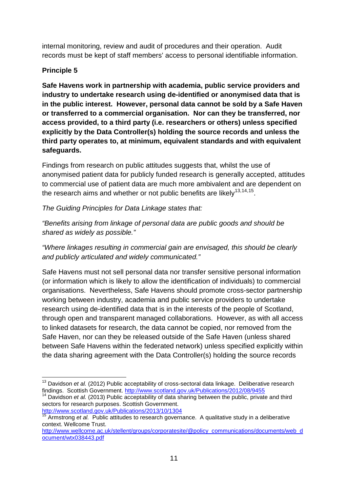internal monitoring, review and audit of procedures and their operation. Audit records must be kept of staff members' access to personal identifiable information.

# **Principle 5**

**Safe Havens work in partnership with academia, public service providers and industry to undertake research using de-identified or anonymised data that is in the public interest. However, personal data cannot be sold by a Safe Haven or transferred to a commercial organisation. Nor can they be transferred, nor access provided, to a third party (i.e. researchers or others) unless specified explicitly by the Data Controller(s) holding the source records and unless the third party operates to, at minimum, equivalent standards and with equivalent safeguards.**

Findings from research on public attitudes suggests that, whilst the use of anonymised patient data for publicly funded research is generally accepted, attitudes to commercial use of patient data are much more ambivalent and are dependent on the research aims and whether or not public benefits are likely<sup>[13,](#page-6-0)[14,](#page-10-0)[15](#page-10-1)</sup>.

*The Guiding Principles for Data Linkage states that:*

*"Benefits arising from linkage of personal data are public goods and should be shared as widely as possible."*

*"Where linkages resulting in commercial gain are envisaged, this should be clearly and publicly articulated and widely communicated."*

Safe Havens must not sell personal data nor transfer sensitive personal information (or information which is likely to allow the identification of individuals) to commercial organisations. Nevertheless, Safe Havens should promote cross-sector partnership working between industry, academia and public service providers to undertake research using de-identified data that is in the interests of the people of Scotland, through open and transparent managed collaborations. However, as with all access to linked datasets for research, the data cannot be copied, nor removed from the Safe Haven, nor can they be released outside of the Safe Haven (unless shared between Safe Havens within the federated network) unless specified explicitly within the data sharing agreement with the Data Controller(s) holding the source records

<http://www.scotland.gov.uk/Publications/2013/10/1304>

<sup>&</sup>lt;sup>13</sup> Davidson *et al.* (2012) Public acceptability of cross-sectoral data linkage. Deliberative research findings. Scottish Government. http://www.scotland.gov.uk/Publications/2012/08/9455

<span id="page-10-0"></span><sup>&</sup>lt;sup>14</sup> Davidson et al. (2013) Public acceptability of data sharing between the public, private and third sectors for research purposes. Scottish Government.

<span id="page-10-1"></span><sup>&</sup>lt;sup>15</sup> Armstrong *et al.* Public attitudes to research governance. A qualitative study in a deliberative context. Wellcome Trust.

<span id="page-10-2"></span>[http://www.wellcome.ac.uk/stellent/groups/corporatesite/@policy\\_communications/documents/web\\_d](http://www.wellcome.ac.uk/stellent/groups/corporatesite/@policy_communications/documents/web_document/wtx038443.pdf) [ocument/wtx038443.pdf](http://www.wellcome.ac.uk/stellent/groups/corporatesite/@policy_communications/documents/web_document/wtx038443.pdf)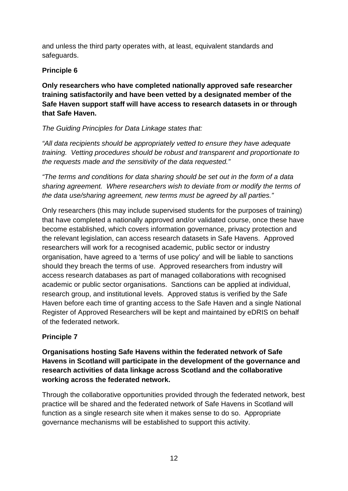and unless the third party operates with, at least, equivalent standards and safeguards.

# **Principle 6**

**Only researchers who have completed nationally approved safe researcher training satisfactorily and have been vetted by a designated member of the Safe Haven support staff will have access to research datasets in or through that Safe Haven.** 

# *The Guiding Principles for Data Linkage states that:*

*"All data recipients should be appropriately vetted to ensure they have adequate training. Vetting procedures should be robust and transparent and proportionate to the requests made and the sensitivity of the data requested."*

*"The terms and conditions for data sharing should be set out in the form of a data sharing agreement. Where researchers wish to deviate from or modify the terms of the data use/sharing agreement, new terms must be agreed by all parties."*

Only researchers (this may include supervised students for the purposes of training) that have completed a nationally approved and/or validated course, once these have become established, which covers information governance, privacy protection and the relevant legislation, can access research datasets in Safe Havens. Approved researchers will work for a recognised academic, public sector or industry organisation, have agreed to a 'terms of use policy' and will be liable to sanctions should they breach the terms of use. Approved researchers from industry will access research databases as part of managed collaborations with recognised academic or public sector organisations. Sanctions can be applied at individual, research group, and institutional levels. Approved status is verified by the Safe Haven before each time of granting access to the Safe Haven and a single National Register of Approved Researchers will be kept and maintained by eDRIS on behalf of the federated network.

# **Principle 7**

**Organisations hosting Safe Havens within the federated network of Safe Havens in Scotland will participate in the development of the governance and research activities of data linkage across Scotland and the collaborative working across the federated network.** 

Through the collaborative opportunities provided through the federated network, best practice will be shared and the federated network of Safe Havens in Scotland will function as a single research site when it makes sense to do so. Appropriate governance mechanisms will be established to support this activity.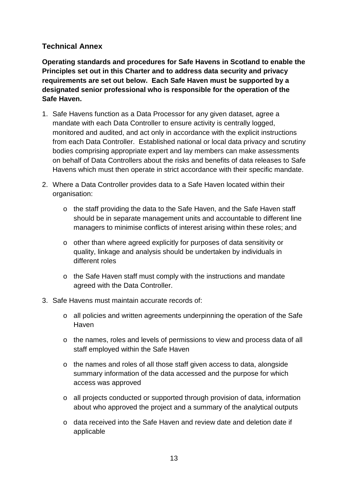# **Technical Annex**

**Operating standards and procedures for Safe Havens in Scotland to enable the Principles set out in this Charter and to address data security and privacy requirements are set out below. Each Safe Haven must be supported by a designated senior professional who is responsible for the operation of the Safe Haven.**

- 1. Safe Havens function as a Data Processor for any given dataset, agree a mandate with each Data Controller to ensure activity is centrally logged, monitored and audited, and act only in accordance with the explicit instructions from each Data Controller. Established national or local data privacy and scrutiny bodies comprising appropriate expert and lay members can make assessments on behalf of Data Controllers about the risks and benefits of data releases to Safe Havens which must then operate in strict accordance with their specific mandate.
- 2. Where a Data Controller provides data to a Safe Haven located within their organisation:
	- o the staff providing the data to the Safe Haven, and the Safe Haven staff should be in separate management units and accountable to different line managers to minimise conflicts of interest arising within these roles; and
	- o other than where agreed explicitly for purposes of data sensitivity or quality, linkage and analysis should be undertaken by individuals in different roles
	- o the Safe Haven staff must comply with the instructions and mandate agreed with the Data Controller.
- 3. Safe Havens must maintain accurate records of:
	- o all policies and written agreements underpinning the operation of the Safe **Haven**
	- o the names, roles and levels of permissions to view and process data of all staff employed within the Safe Haven
	- o the names and roles of all those staff given access to data, alongside summary information of the data accessed and the purpose for which access was approved
	- o all projects conducted or supported through provision of data, information about who approved the project and a summary of the analytical outputs
	- o data received into the Safe Haven and review date and deletion date if applicable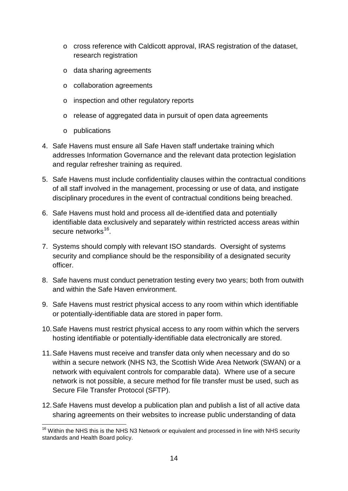- o cross reference with Caldicott approval, IRAS registration of the dataset, research registration
- o data sharing agreements
- o collaboration agreements
- o inspection and other regulatory reports
- o release of aggregated data in pursuit of open data agreements
- o publications
- 4. Safe Havens must ensure all Safe Haven staff undertake training which addresses Information Governance and the relevant data protection legislation and regular refresher training as required.
- 5. Safe Havens must include confidentiality clauses within the contractual conditions of all staff involved in the management, processing or use of data, and instigate disciplinary procedures in the event of contractual conditions being breached.
- 6. Safe Havens must hold and process all de-identified data and potentially identifiable data exclusively and separately within restricted access areas within secure networks<sup>16</sup>.
- 7. Systems should comply with relevant ISO standards. Oversight of systems security and compliance should be the responsibility of a designated security officer.
- 8. Safe havens must conduct penetration testing every two years; both from outwith and within the Safe Haven environment.
- 9. Safe Havens must restrict physical access to any room within which identifiable or potentially-identifiable data are stored in paper form.
- 10.Safe Havens must restrict physical access to any room within which the servers hosting identifiable or potentially-identifiable data electronically are stored.
- 11.Safe Havens must receive and transfer data only when necessary and do so within a secure network (NHS N3, the Scottish Wide Area Network (SWAN) or a network with equivalent controls for comparable data). Where use of a secure network is not possible, a secure method for file transfer must be used, such as Secure File Transfer Protocol (SFTP).
- 12.Safe Havens must develop a publication plan and publish a list of all active data sharing agreements on their websites to increase public understanding of data

<sup>&</sup>lt;sup>16</sup> Within the NHS this is the NHS N3 Network or equivalent and processed in line with NHS security standards and Health Board policy.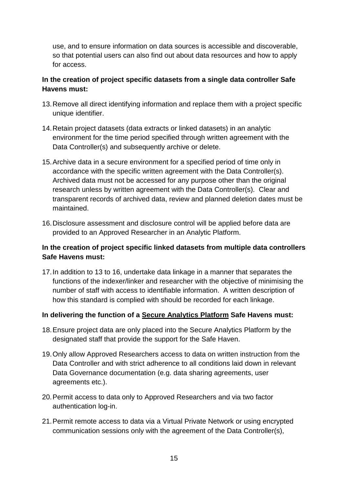use, and to ensure information on data sources is accessible and discoverable, so that potential users can also find out about data resources and how to apply for access.

### **In the creation of project specific datasets from a single data controller Safe Havens must:**

- 13.Remove all direct identifying information and replace them with a project specific unique identifier.
- 14.Retain project datasets (data extracts or linked datasets) in an analytic environment for the time period specified through written agreement with the Data Controller(s) and subsequently archive or delete.
- 15.Archive data in a secure environment for a specified period of time only in accordance with the specific written agreement with the Data Controller(s). Archived data must not be accessed for any purpose other than the original research unless by written agreement with the Data Controller(s). Clear and transparent records of archived data, review and planned deletion dates must be maintained.
- 16.Disclosure assessment and disclosure control will be applied before data are provided to an Approved Researcher in an Analytic Platform.

### **In the creation of project specific linked datasets from multiple data controllers Safe Havens must:**

17.In addition to 13 to 16, undertake data linkage in a manner that separates the functions of the indexer/linker and researcher with the objective of minimising the number of staff with access to identifiable information. A written description of how this standard is complied with should be recorded for each linkage.

#### **In delivering the function of a Secure Analytics Platform Safe Havens must:**

- 18.Ensure project data are only placed into the Secure Analytics Platform by the designated staff that provide the support for the Safe Haven.
- 19.Only allow Approved Researchers access to data on written instruction from the Data Controller and with strict adherence to all conditions laid down in relevant Data Governance documentation (e.g. data sharing agreements, user agreements etc.).
- 20.Permit access to data only to Approved Researchers and via two factor authentication log-in.
- 21.Permit remote access to data via a Virtual Private Network or using encrypted communication sessions only with the agreement of the Data Controller(s),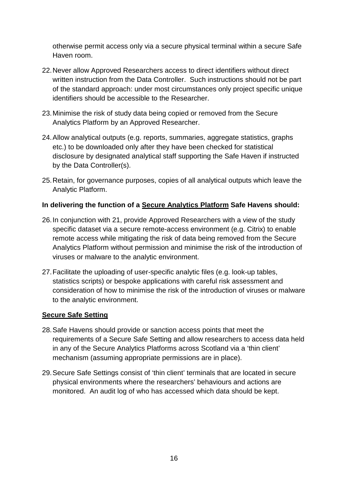otherwise permit access only via a secure physical terminal within a secure Safe Haven room.

- 22.Never allow Approved Researchers access to direct identifiers without direct written instruction from the Data Controller. Such instructions should not be part of the standard approach: under most circumstances only project specific unique identifiers should be accessible to the Researcher.
- 23.Minimise the risk of study data being copied or removed from the Secure Analytics Platform by an Approved Researcher.
- 24.Allow analytical outputs (e.g. reports, summaries, aggregate statistics, graphs etc.) to be downloaded only after they have been checked for statistical disclosure by designated analytical staff supporting the Safe Haven if instructed by the Data Controller(s).
- 25.Retain, for governance purposes, copies of all analytical outputs which leave the Analytic Platform.

#### **In delivering the function of a Secure Analytics Platform Safe Havens should:**

- 26.In conjunction with 21, provide Approved Researchers with a view of the study specific dataset via a secure remote-access environment (e.g. Citrix) to enable remote access while mitigating the risk of data being removed from the Secure Analytics Platform without permission and minimise the risk of the introduction of viruses or malware to the analytic environment.
- 27.Facilitate the uploading of user-specific analytic files (e.g. look-up tables, statistics scripts) or bespoke applications with careful risk assessment and consideration of how to minimise the risk of the introduction of viruses or malware to the analytic environment.

#### **Secure Safe Setting**

- 28.Safe Havens should provide or sanction access points that meet the requirements of a Secure Safe Setting and allow researchers to access data held in any of the Secure Analytics Platforms across Scotland via a 'thin client' mechanism (assuming appropriate permissions are in place).
- 29.Secure Safe Settings consist of 'thin client' terminals that are located in secure physical environments where the researchers' behaviours and actions are monitored. An audit log of who has accessed which data should be kept.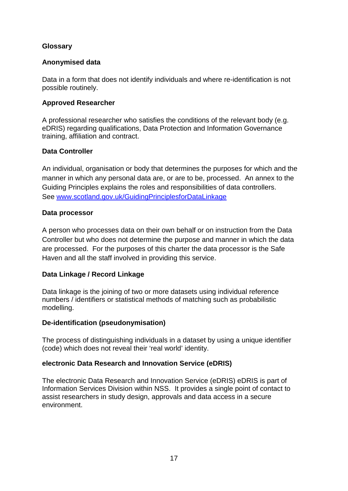#### **Glossary**

#### **Anonymised data**

Data in a form that does not identify individuals and where re-identification is not possible routinely.

#### **Approved Researcher**

A professional researcher who satisfies the conditions of the relevant body (e.g. eDRIS) regarding qualifications, Data Protection and Information Governance training, affiliation and contract.

#### **Data Controller**

An individual, organisation or body that determines the purposes for which and the manner in which any personal data are, or are to be, processed. An annex to the Guiding Principles explains the roles and responsibilities of data controllers. See [www.scotland.gov.uk/GuidingPrinciplesforDataLinkage](http://www.scotland.gov.uk/GuidingPrinciplesforDataLinkage)

#### **Data processor**

A person who processes data on their own behalf or on instruction from the Data Controller but who does not determine the purpose and manner in which the data are processed. For the purposes of this charter the data processor is the Safe Haven and all the staff involved in providing this service.

#### **Data Linkage / Record Linkage**

Data linkage is the joining of two or more datasets using individual reference numbers / identifiers or statistical methods of matching such as probabilistic modelling.

#### **De-identification (pseudonymisation)**

The process of distinguishing individuals in a dataset by using a unique identifier (code) which does not reveal their 'real world' identity.

#### **electronic Data Research and Innovation Service (eDRIS)**

The electronic Data Research and Innovation Service (eDRIS) eDRIS is part of Information Services Division within NSS. It provides a single point of contact to assist researchers in study design, approvals and data access in a secure environment.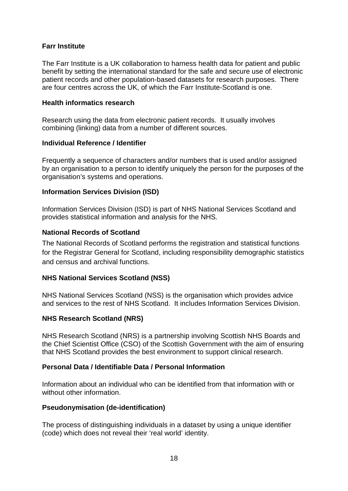#### **Farr Institute**

The Farr Institute is a UK collaboration to harness health data for patient and public benefit by setting the international standard for the safe and secure use of electronic patient records and other population-based datasets for research purposes. There are four centres across the UK, of which the Farr Institute-Scotland is one.

#### **Health informatics research**

Research using the data from electronic patient records. It usually involves combining (linking) data from a number of different sources.

#### **Individual Reference / Identifier**

Frequently a sequence of characters and/or numbers that is used and/or assigned by an organisation to a person to identify uniquely the person for the purposes of the organisation's systems and operations.

#### **Information Services Division (ISD)**

Information Services Division (ISD) is part of NHS National Services Scotland and provides statistical information and analysis for the NHS.

#### **National Records of Scotland**

The National Records of Scotland performs the registration and statistical functions for the Registrar General for Scotland, including responsibility demographic statistics and census and archival functions.

#### **NHS National Services Scotland (NSS)**

NHS National Services Scotland (NSS) is the organisation which provides advice and services to the rest of NHS Scotland. It includes Information Services Division.

#### **NHS Research Scotland (NRS)**

NHS Research Scotland (NRS) is a partnership involving Scottish NHS Boards and the Chief Scientist Office (CSO) of the Scottish Government with the aim of ensuring that NHS Scotland provides the best environment to support clinical research.

#### **Personal Data / Identifiable Data / Personal Information**

Information about an individual who can be identified from that information with or without other information.

#### **Pseudonymisation (de-identification)**

The process of distinguishing individuals in a dataset by using a unique identifier (code) which does not reveal their 'real world' identity.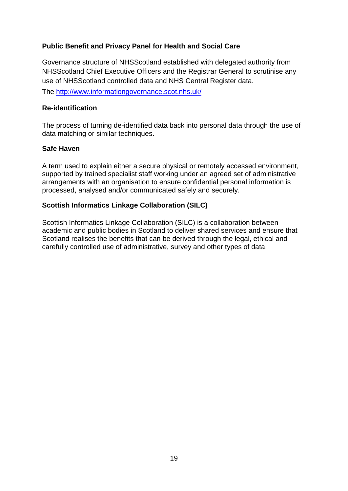#### **Public Benefit and Privacy Panel for Health and Social Care**

Governance structure of NHSScotland established with delegated authority from NHSScotland Chief Executive Officers and the Registrar General to scrutinise any use of NHSScotland controlled data and NHS Central Register data.

The<http://www.informationgovernance.scot.nhs.uk/>

#### **Re-identification**

The process of turning de-identified data back into personal data through the use of data matching or similar techniques.

#### **Safe Haven**

A term used to explain either a secure physical or remotely accessed environment, supported by trained specialist staff working under an agreed set of administrative arrangements with an organisation to ensure confidential personal information is processed, analysed and/or communicated safely and securely.

#### **Scottish Informatics Linkage Collaboration (SILC)**

Scottish Informatics Linkage Collaboration (SILC) is a collaboration between academic and public bodies in Scotland to deliver shared services and ensure that Scotland realises the benefits that can be derived through the legal, ethical and carefully controlled use of administrative, survey and other types of data.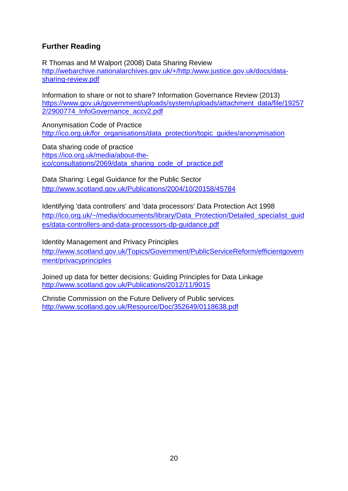# **Further Reading**

R Thomas and M Walport (2008) Data Sharing Review [http://webarchive.nationalarchives.gov.uk/+/http:/www.justice.gov.uk/docs/data](http://webarchive.nationalarchives.gov.uk/+/http:/www.justice.gov.uk/docs/data-sharing-review.pdf)[sharing-review.pdf](http://webarchive.nationalarchives.gov.uk/+/http:/www.justice.gov.uk/docs/data-sharing-review.pdf)

Information to share or not to share? Information Governance Review (2013) [https://www.gov.uk/government/uploads/system/uploads/attachment\\_data/file/19257](https://www.gov.uk/government/uploads/system/uploads/attachment_data/file/192572/2900774_InfoGovernance_accv2.pdf) [2/2900774\\_InfoGovernance\\_accv2.pdf](https://www.gov.uk/government/uploads/system/uploads/attachment_data/file/192572/2900774_InfoGovernance_accv2.pdf)

Anonymisation Code of Practice [http://ico.org.uk/for\\_organisations/data\\_protection/topic\\_guides/anonymisation](http://ico.org.uk/for_organisations/data_protection/topic_guides/anonymisation)

Data sharing code of practice [https://ico.org.uk/media/about-the](https://ico.org.uk/media/about-the-ico/consultations/2069/data_sharing_code_of_practice.pdf)[ico/consultations/2069/data\\_sharing\\_code\\_of\\_practice.pdf](https://ico.org.uk/media/about-the-ico/consultations/2069/data_sharing_code_of_practice.pdf)

Data Sharing: Legal Guidance for the Public Sector <http://www.scotland.gov.uk/Publications/2004/10/20158/45784>

Identifying 'data controllers' and 'data processors' Data Protection Act 1998 [http://ico.org.uk/~/media/documents/library/Data\\_Protection/Detailed\\_specialist\\_guid](http://ico.org.uk/~/media/documents/library/Data_Protection/Detailed_specialist_guides/data-controllers-and-data-processors-dp-guidance.pdf) [es/data-controllers-and-data-processors-dp-guidance.pdf](http://ico.org.uk/~/media/documents/library/Data_Protection/Detailed_specialist_guides/data-controllers-and-data-processors-dp-guidance.pdf)

Identity Management and Privacy Principles [http://www.scotland.gov.uk/Topics/Government/PublicServiceReform/efficientgovern](http://www.scotland.gov.uk/Topics/Government/PublicServiceReform/efficientgovernment/privacyprinciples) [ment/privacyprinciples](http://www.scotland.gov.uk/Topics/Government/PublicServiceReform/efficientgovernment/privacyprinciples)

Joined up data for better decisions: Guiding Principles for Data Linkage <http://www.scotland.gov.uk/Publications/2012/11/9015>

Christie Commission on the Future Delivery of Public services <http://www.scotland.gov.uk/Resource/Doc/352649/0118638.pdf>